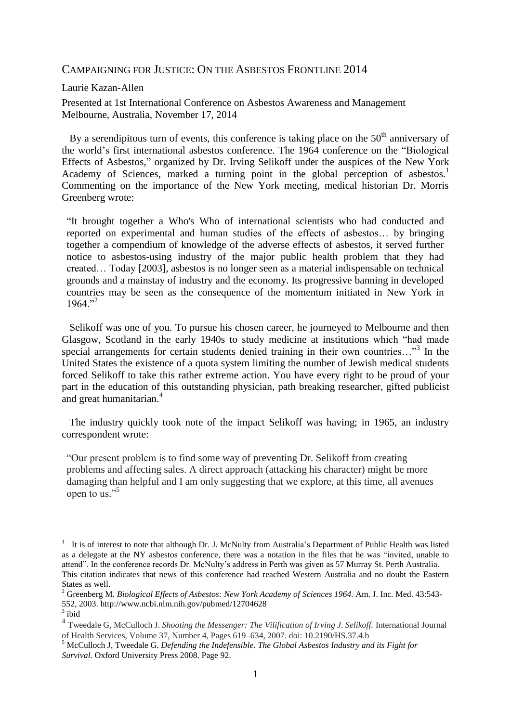### CAMPAIGNING FOR JUSTICE: ON THE ASBESTOS FRONTLINE 2014

#### Laurie Kazan-Allen

Presented at 1st International Conference on Asbestos Awareness and Management Melbourne, Australia, November 17, 2014

By a serendipitous turn of events, this conference is taking place on the  $50<sup>th</sup>$  anniversary of the world's first international asbestos conference. The 1964 conference on the ["Biological](http://www.ncbi.nlm.nih.gov/pubmed/12704628)  [Effects of Asbestos,"](http://www.ncbi.nlm.nih.gov/pubmed/12704628) organized by Dr. Irving Selikoff under the auspices of the New York Academy of Sciences, marked a turning point in the global perception of asbestos.<sup>1</sup> Commenting on the importance of the New York meeting, medical historian Dr. Morris Greenberg wrote:

"It brought together a Who's Who of international scientists who had conducted and reported on experimental and human studies of the effects of asbestos… by bringing together a compendium of knowledge of the adverse effects of asbestos, it served further notice to asbestos-using industry of the major public health problem that they had created… Today [2003], asbestos is no longer seen as a material indispensable on technical grounds and a mainstay of industry and the economy. Its progressive banning in developed countries may be seen as the consequence of the momentum initiated in New York in  $1964$ ."<sup>2</sup>

 Selikoff was one of you. To pursue his chosen career, he journeyed to Melbourne and then Glasgow, Scotland in the early 1940s to study medicine at institutions which "had made special arrangements for certain students denied training in their own countries..."<sup>3</sup> In the United States the existence of a quota system limiting the number of Jewish medical students forced Selikoff to take this rather extreme action. You have every right to be proud of your part in the education of this outstanding physician, path breaking researcher, gifted publicist and great humanitarian.<sup>4</sup>

 The industry quickly took note of the impact Selikoff was having; in 1965, an industry correspondent wrote:

"Our present problem is to find some way of preventing Dr. Selikoff from creating problems and affecting sales. A direct approach (attacking his character) might be more damaging than helpful and I am only suggesting that we explore, at this time, all avenues open to us."<sup>5</sup>

<u>.</u>

<sup>1</sup> It is of interest to note that although Dr. J. McNulty from Australia's Department of Public Health was listed as a delegate at the NY asbestos conference, there was a notation in the files that he was "invited, unable to attend". In the conference records Dr. McNulty's address in Perth was given as 57 Murray St. Perth Australia. This citation indicates that news of this conference had reached Western Australia and no doubt the Eastern States as well.

<sup>2</sup> Greenberg M. *Biological Effects of Asbestos: New York Academy of Sciences 1964.* Am. J. Inc. Med. 43:543- 552, 2003. http://www.ncbi.nlm.nih.gov/pubmed/12704628

 $3$  ibid

<sup>4</sup> Tweedale G, McCulloch J. *Shooting the Messenger: The Vilification of Irving J. Selikoff.* International Journal of Health Services, Volume 37, Number 4, Pages 619–634, 2007. doi: 10.2190/HS.37.4.b

<sup>5</sup> McCulloch J, Tweedale G. *Defending the Indefensible. The Global Asbestos Industry and its Fight for Survival*. Oxford University Press 2008. Page 92.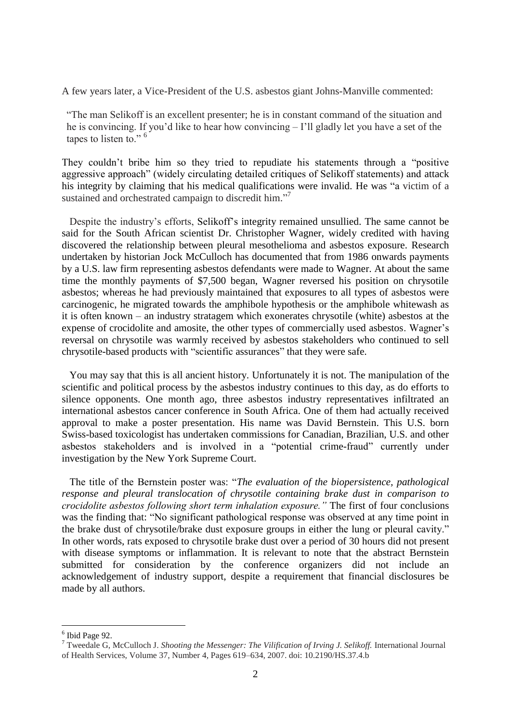A few years later, a Vice-President of the U.S. asbestos giant Johns-Manville commented:

"The man Selikoff is an excellent presenter; he is in constant command of the situation and he is convincing. If you'd like to hear how convincing – I'll gladly let you have a set of the tapes to listen to."<sup>6</sup>

They couldn't bribe him so they tried to repudiate his statements through a "positive aggressive approach" (widely circulating detailed critiques of Selikoff statements) and attack his integrity by claiming that his medical qualifications were invalid. He was "a victim of a sustained and orchestrated campaign to discredit him."<sup>7</sup>

 Despite the industry's efforts, Selikoff's integrity remained unsullied. The same cannot be said for the South African scientist Dr. Christopher Wagner, widely credited with having discovered the relationship between pleural mesothelioma and asbestos exposure. Research undertaken by historian Jock McCulloch has documented that from 1986 onwards payments by a U.S. law firm representing asbestos defendants were made to Wagner. At about the same time the monthly payments of \$7,500 began, Wagner reversed his position on chrysotile asbestos; whereas he had previously maintained that exposures to all types of asbestos were carcinogenic, he migrated towards the amphibole hypothesis or the amphibole whitewash as it is often known – an industry stratagem which exonerates chrysotile (white) asbestos at the expense of crocidolite and amosite, the other types of commercially used asbestos. Wagner's reversal on chrysotile was warmly received by asbestos stakeholders who continued to sell chrysotile-based products with "scientific assurances" that they were safe.

 You may say that this is all ancient history. Unfortunately it is not. The manipulation of the scientific and political process by the asbestos industry continues to this day, as do efforts to silence opponents. One month ago, three asbestos industry representatives infiltrated an international asbestos cancer conference in South Africa. One of them had actually received approval to make a poster presentation. His name was David Bernstein. This U.S. born Swiss-based toxicologist has undertaken commissions for Canadian, Brazilian, U.S. and other asbestos stakeholders and is involved in a "potential crime-fraud" currently under investigation by the New York Supreme Court.

 The title of the Bernstein poster was: "*The evaluation of the biopersistence, pathological response and pleural translocation of chrysotile containing brake dust in comparison to crocidolite asbestos following short term inhalation exposure."* The first of four conclusions was the finding that: "No significant pathological response was observed at any time point in the brake dust of chrysotile/brake dust exposure groups in either the lung or pleural cavity." In other words, rats exposed to chrysotile brake dust over a period of 30 hours did not present with disease symptoms or inflammation. It is relevant to note that the abstract Bernstein submitted for consideration by the conference organizers did not include an acknowledgement of industry support, despite a requirement that financial disclosures be made by all authors.

<u>.</u>

<sup>6</sup> Ibid Page 92.

<sup>&</sup>lt;sup>7</sup> Tweedale G. McCulloch J. *Shooting the Messenger: The Vilification of Irving J. Selikoff.* International Journal of Health Services, Volume 37, Number 4, Pages 619–634, 2007. doi: 10.2190/HS.37.4.b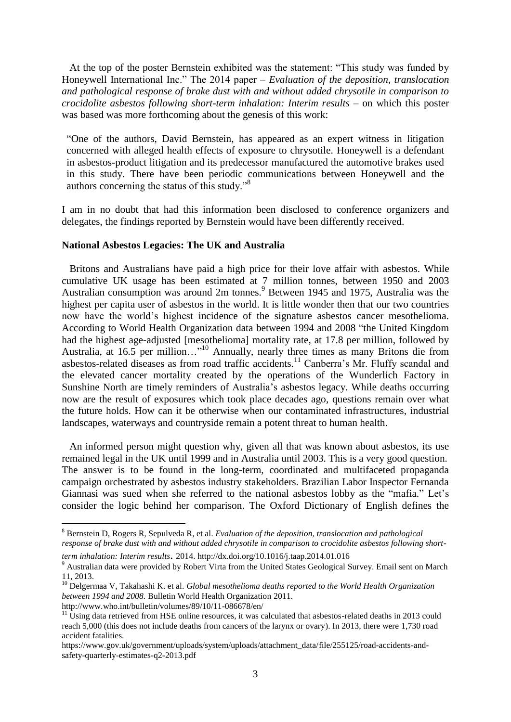At the top of the poster Bernstein exhibited was the statement: "This study was funded by Honeywell International Inc." The 2014 paper – *Evaluation of the deposition, translocation and pathological response of brake dust with and without added chrysotile in comparison to crocidolite asbestos following short-term inhalation: Interim results* – on which this poster was based was more forthcoming about the genesis of this work:

"One of the authors, David Bernstein, has appeared as an expert witness in litigation concerned with alleged health effects of exposure to chrysotile. Honeywell is a defendant in asbestos-product litigation and its predecessor manufactured the automotive brakes used in this study. There have been periodic communications between Honeywell and the authors concerning the status of this study."<sup>8</sup>

I am in no doubt that had this information been disclosed to conference organizers and delegates, the findings reported by Bernstein would have been differently received.

### **National Asbestos Legacies: The UK and Australia**

 Britons and Australians have paid a high price for their love affair with asbestos. While cumulative UK usage has been estimated at 7 million tonnes, between 1950 and 2003 Australian consumption was around 2m tonnes.<sup>9</sup> Between 1945 and 1975, Australia was the highest per capita user of asbestos in the world. It is little wonder then that our two countries now have the world's highest incidence of the signature asbestos cancer mesothelioma. According to World Health Organization data between 1994 and 2008 "the United Kingdom had the highest age-adjusted [mesothelioma] mortality rate, at 17.8 per million, followed by Australia, at 16.5 per million…"<sup>10</sup> Annually, nearly three times as many Britons die from asbestos-related diseases as from road traffic accidents.<sup>11</sup> Canberra's Mr. Fluffy scandal and the elevated cancer mortality created by the operations of the Wunderlich Factory in Sunshine North are timely reminders of Australia's asbestos legacy. While deaths occurring now are the result of exposures which took place decades ago, questions remain over what the future holds. How can it be otherwise when our contaminated infrastructures, industrial landscapes, waterways and countryside remain a potent threat to human health.

 An informed person might question why, given all that was known about asbestos, its use remained legal in the UK until 1999 and in Australia until 2003. This is a very good question. The answer is to be found in the long-term, coordinated and multifaceted propaganda campaign orchestrated by asbestos industry stakeholders. Brazilian Labor Inspector Fernanda Giannasi was sued when she referred to the national asbestos lobby as the "mafia." Let's consider the logic behind her comparison. The Oxford Dictionary of English defines the

1

<sup>8</sup> Bernstein D, Rogers R, Sepulveda R, et al. *Evaluation of the deposition, translocation and pathological response of brake dust with and without added chrysotile in comparison to crocidolite asbestos following short-*

*term inhalation: Interim results*. 2014. http://dx.doi.org/10.1016/j.taap.2014.01.016

<sup>&</sup>lt;sup>9</sup> Australian data were provided by Robert Virta from the United States Geological Survey. Email sent on March 11, 2013.

<sup>10</sup> Delgermaa V, Takahashi K. et al. *Global mesothelioma deaths reported to the World Health Organization between 1994 and 2008.* Bulletin World Health Organization 2011.

<http://www.who.int/bulletin/volumes/89/10/11-086678/en/>

 $11$  Using data retrieved from HSE online resources, it was calculated that asbestos-related deaths in 2013 could reach 5,000 (this does not include deaths from cancers of the larynx or ovary). In 2013, there were 1,730 road accident fatalities.

[https://www.gov.uk/government/uploads/system/uploads/attachment\\_data/file/255125/road-accidents-and](https://www.gov.uk/government/uploads/system/uploads/attachment_data/file/255125/road-accidents-and-safety-quarterly-estimates-q2-2013.pdf)[safety-quarterly-estimates-q2-2013.pdf](https://www.gov.uk/government/uploads/system/uploads/attachment_data/file/255125/road-accidents-and-safety-quarterly-estimates-q2-2013.pdf)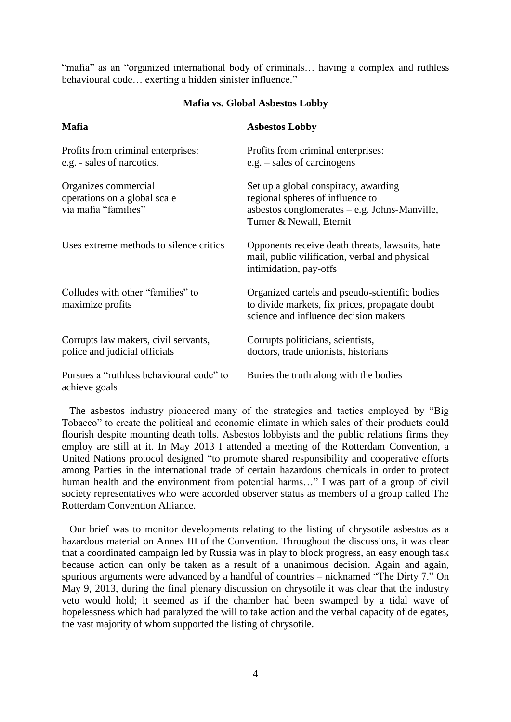"mafia" as an "organized international body of criminals… having a complex and ruthless behavioural code… exerting a hidden sinister influence."

### **Mafia vs. Global Asbestos Lobby**

| <b>Mafia</b>                                                                 | <b>Asbestos Lobby</b>                                                                                                                                  |
|------------------------------------------------------------------------------|--------------------------------------------------------------------------------------------------------------------------------------------------------|
| Profits from criminal enterprises:<br>e.g. - sales of narcotics.             | Profits from criminal enterprises:<br>e.g. – sales of carcinogens                                                                                      |
| Organizes commercial<br>operations on a global scale<br>via mafia "families" | Set up a global conspiracy, awarding<br>regional spheres of influence to<br>asbestos conglomerates $-e.g.$ Johns-Manville,<br>Turner & Newall, Eternit |
| Uses extreme methods to silence critics                                      | Opponents receive death threats, lawsuits, hate<br>mail, public vilification, verbal and physical<br>intimidation, pay-offs                            |
| Colludes with other "families" to<br>maximize profits                        | Organized cartels and pseudo-scientific bodies<br>to divide markets, fix prices, propagate doubt<br>science and influence decision makers              |
| Corrupts law makers, civil servants,<br>police and judicial officials        | Corrupts politicians, scientists,<br>doctors, trade unionists, historians                                                                              |
| Pursues a "ruthless behavioural code" to<br>achieve goals                    | Buries the truth along with the bodies                                                                                                                 |

 The asbestos industry pioneered many of the strategies and tactics employed by "Big Tobacco" to create the political and economic climate in which sales of their products could flourish despite mounting death tolls. Asbestos lobbyists and the public relations firms they employ are still at it. In May 2013 I attended a meeting of the Rotterdam Convention, a United Nations protocol designed "to promote shared responsibility and cooperative efforts among Parties in the international trade of certain hazardous chemicals in order to protect human health and the environment from potential harms..." I was part of a group of civil society representatives who were accorded observer status as members of a group called The Rotterdam Convention Alliance.

 Our brief was to monitor developments relating to the listing of chrysotile asbestos as a hazardous material on Annex III of the Convention. Throughout the discussions, it was clear that a coordinated campaign led by Russia was in play to block progress, an easy enough task because action can only be taken as a result of a unanimous decision. Again and again, spurious arguments were advanced by a handful of countries – nicknamed "The Dirty 7." On May 9, 2013, during the final plenary discussion on chrysotile it was clear that the industry veto would hold; it seemed as if the chamber had been swamped by a tidal wave of hopelessness which had paralyzed the will to take action and the verbal capacity of delegates, the vast majority of whom supported the listing of chrysotile.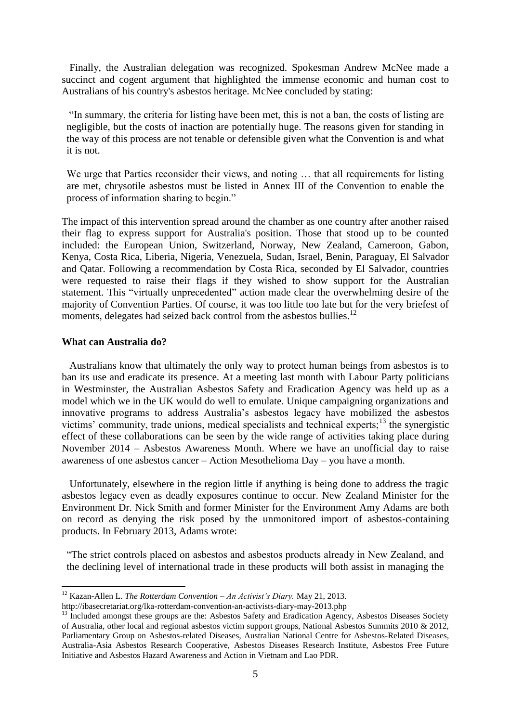Finally, the Australian delegation was recognized. Spokesman Andrew McNee made a succinct and cogent argument that highlighted the immense economic and human cost to Australians of his country's asbestos heritage. McNee concluded by stating:

"In summary, the criteria for listing have been met, this is not a ban, the costs of listing are negligible, but the costs of inaction are potentially huge. The reasons given for standing in the way of this process are not tenable or defensible given what the Convention is and what it is not.

We urge that Parties reconsider their views, and noting ... that all requirements for listing are met, chrysotile asbestos must be listed in Annex III of the Convention to enable the process of information sharing to begin."

The impact of this intervention spread around the chamber as one country after another raised their flag to express support for Australia's position. Those that stood up to be counted included: the European Union, Switzerland, Norway, New Zealand, Cameroon, Gabon, Kenya, Costa Rica, Liberia, Nigeria, Venezuela, Sudan, Israel, Benin, Paraguay, El Salvador and Qatar. Following a recommendation by Costa Rica, seconded by El Salvador, countries were requested to raise their flags if they wished to show support for the Australian statement. This "virtually unprecedented" action made clear the overwhelming desire of the majority of Convention Parties. Of course, it was too little too late but for the very briefest of moments, delegates had seized back control from the asbestos bullies.<sup>12</sup>

### **What can Australia do?**

1

 Australians know that ultimately the only way to protect human beings from asbestos is to ban its use and eradicate its presence. At a meeting last month with Labour Party politicians in Westminster, the Australian Asbestos Safety and Eradication Agency was held up as a model which we in the UK would do well to emulate. Unique campaigning organizations and innovative programs to address Australia's asbestos legacy have mobilized the asbestos victims' community, trade unions, medical specialists and technical experts;<sup>13</sup> the synergistic effect of these collaborations can be seen by the wide range of activities taking place during November 2014 – Asbestos Awareness Month. Where we have an unofficial day to raise awareness of one asbestos cancer – Action Mesothelioma Day – you have a month.

 Unfortunately, elsewhere in the region little if anything is being done to address the tragic asbestos legacy even as deadly exposures continue to occur. New Zealand Minister for the Environment Dr. Nick Smith and former Minister for the Environment Amy Adams are both on record as denying the risk posed by the unmonitored import of asbestos-containing products. In February 2013, Adams wrote:

"The strict controls placed on asbestos and asbestos products already in New Zealand, and the declining level of international trade in these products will both assist in managing the

<sup>12</sup> Kazan-Allen L. *The Rotterdam Convention – An Activist's Diary.* May 21, 2013.

http://ibasecretariat.org/lka-rotterdam-convention-an-activists-diary-may-2013.php

<sup>&</sup>lt;sup>13</sup> Included amongst these groups are the: Asbestos Safety and Eradication Agency, Asbestos Diseases Society of Australia, other local and regional asbestos victim support groups, National Asbestos Summits 2010 & 2012, Parliamentary Group on Asbestos-related Diseases, Australian National Centre for Asbestos-Related Diseases, Australia-Asia Asbestos Research Cooperative, Asbestos Diseases Research Institute, Asbestos Free Future Initiative and Asbestos Hazard Awareness and Action in Vietnam and Lao PDR.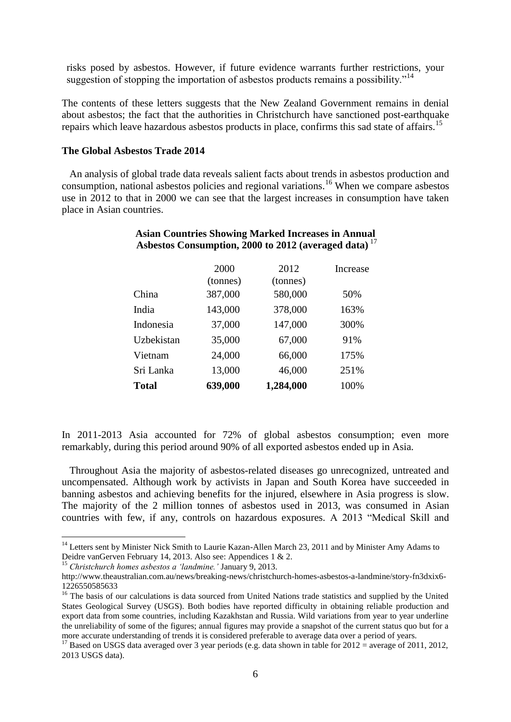risks posed by asbestos. However, if future evidence warrants further restrictions, your suggestion of stopping the importation of asbestos products remains a possibility."<sup>14</sup>

The contents of these letters suggests that the New Zealand Government remains in denial about asbestos; the fact that the authorities in Christchurch have sanctioned post-earthquake repairs which leave hazardous asbestos products in place, confirms this sad state of affairs.<sup>15</sup>

### **The Global Asbestos Trade 2014**

 An analysis of global trade data reveals salient facts about trends in asbestos production and consumption, national asbestos policies and regional variations.<sup>16</sup> When we compare asbestos use in 2012 to that in 2000 we can see that the largest increases in consumption have taken place in Asian countries.

|              | 2000<br>(tonnes) | 2012<br>(tonnes) | Increase |
|--------------|------------------|------------------|----------|
| China        | 387,000          | 580,000          | 50%      |
| India        | 143,000          | 378,000          | 163%     |
| Indonesia    | 37,000           | 147,000          | 300%     |
| Uzbekistan   | 35,000           | 67,000           | 91%      |
| Vietnam      | 24,000           | 66,000           | 175%     |
| Sri Lanka    | 13,000           | 46,000           | 251%     |
| <b>Total</b> | 639,000          | 1,284,000        | 100%     |

# **Asian Countries Showing Marked Increases in Annual Asbestos Consumption, 2000 to 2012 (averaged data)** <sup>17</sup>

In 2011-2013 Asia accounted for 72% of global asbestos consumption; even more remarkably, during this period around 90% of all exported asbestos ended up in Asia.

 Throughout Asia the majority of asbestos-related diseases go unrecognized, untreated and uncompensated. Although work by activists in Japan and South Korea have succeeded in banning asbestos and achieving benefits for the injured, elsewhere in Asia progress is slow. The majority of the 2 million tonnes of asbestos used in 2013, was consumed in Asian countries with few, if any, controls on hazardous exposures. A 2013 "Medical Skill and

<u>.</u>

<sup>&</sup>lt;sup>14</sup> Letters sent by Minister Nick Smith to Laurie Kazan-Allen March 23, 2011 and by Minister Amy Adams to Deidre vanGerven February 14, 2013. Also see: Appendices 1 & 2.

<sup>15</sup> *Christchurch homes asbestos a 'landmine.'* January 9, 2013.

http://www.theaustralian.com.au/news/breaking-news/christchurch-homes-asbestos-a-landmine/story-fn3dxix6- 1226550585633

<sup>&</sup>lt;sup>16</sup> The basis of our calculations is data sourced from United Nations trade statistics and supplied by the United States Geological Survey (USGS). Both bodies have reported difficulty in obtaining reliable production and export data from some countries, including Kazakhstan and Russia. Wild variations from year to year underline the unreliability of some of the figures; annual figures may provide a snapshot of the current status quo but for a more accurate understanding of trends it is considered preferable to average data over a period of years.

<sup>&</sup>lt;sup>17</sup> Based on USGS data averaged over 3 year periods (e.g. data shown in table for  $2012 =$  average of 2011, 2012, 2013 USGS data).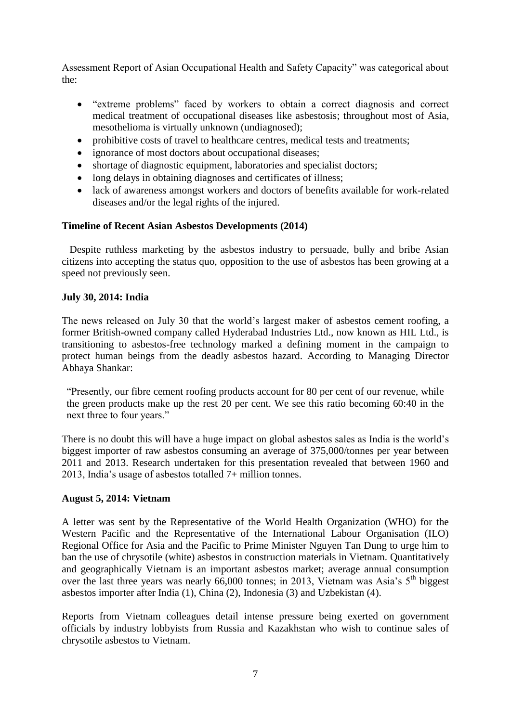Assessment Report of Asian Occupational Health and Safety Capacity" was categorical about the:

- "extreme problems" faced by workers to obtain a correct diagnosis and correct medical treatment of occupational diseases like asbestosis; throughout most of Asia, mesothelioma is virtually unknown (undiagnosed);
- prohibitive costs of travel to healthcare centres, medical tests and treatments;
- ignorance of most doctors about occupational diseases;
- shortage of diagnostic equipment, laboratories and specialist doctors;
- long delays in obtaining diagnoses and certificates of illness;
- lack of awareness amongst workers and doctors of benefits available for work-related diseases and/or the legal rights of the injured.

## **Timeline of Recent Asian Asbestos Developments (2014)**

 Despite ruthless marketing by the asbestos industry to persuade, bully and bribe Asian citizens into accepting the status quo, opposition to the use of asbestos has been growing at a speed not previously seen.

## **July 30, 2014: India**

The news released on July 30 that the world's largest maker of asbestos cement roofing, a former British-owned company called Hyderabad Industries Ltd., now known as HIL Ltd., is transitioning to asbestos-free technology marked a defining moment in the campaign to protect human beings from the deadly asbestos hazard. According to Managing Director Abhaya Shankar:

"Presently, our fibre cement roofing products account for 80 per cent of our revenue, while the green products make up the rest 20 per cent. We see this ratio becoming 60:40 in the next three to four years."

There is no doubt this will have a huge impact on global asbestos sales as India is the world's biggest importer of raw asbestos consuming an average of 375,000/tonnes per year between 2011 and 2013. Research undertaken for this presentation revealed that between 1960 and 2013, India's usage of asbestos totalled 7+ million tonnes.

## **August 5, 2014: Vietnam**

A letter was sent by the Representative of the World Health Organization (WHO) for the Western Pacific and the Representative of the International Labour Organisation (ILO) Regional Office for Asia and the Pacific to Prime Minister Nguyen Tan Dung to urge him to ban the use of chrysotile (white) asbestos in construction materials in Vietnam. Quantitatively and geographically Vietnam is an important asbestos market; average annual consumption over the last three years was nearly 66,000 tonnes; in 2013, Vietnam was Asia's  $5<sup>th</sup>$  biggest asbestos importer after India (1), China (2), Indonesia (3) and Uzbekistan (4).

Reports from Vietnam colleagues detail intense pressure being exerted on government officials by industry lobbyists from Russia and Kazakhstan who wish to continue sales of chrysotile asbestos to Vietnam.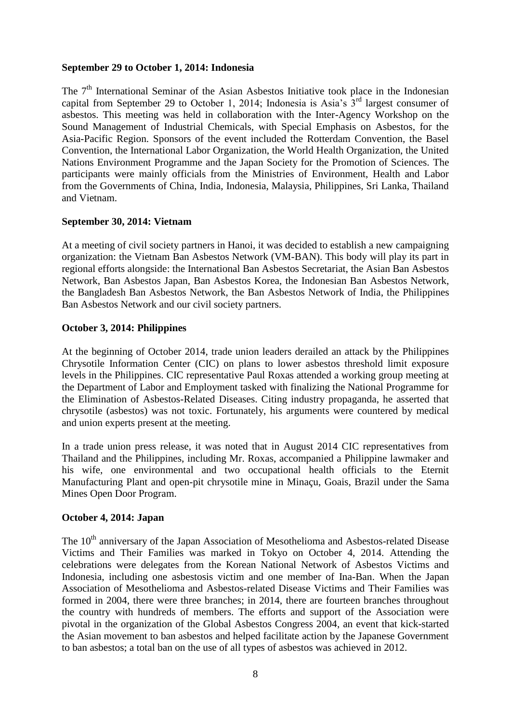## **September 29 to October 1, 2014: Indonesia**

The 7<sup>th</sup> International Seminar of the Asian Asbestos Initiative took place in the Indonesian capital from September 29 to October 1, 2014; Indonesia is Asia's  $3<sup>rd</sup>$  largest consumer of asbestos. This meeting was held in collaboration with the Inter-Agency Workshop on the Sound Management of Industrial Chemicals, with Special Emphasis on Asbestos, for the Asia-Pacific Region. Sponsors of the event included the Rotterdam Convention, the Basel Convention, the International Labor Organization, the World Health Organization, the United Nations Environment Programme and the Japan Society for the Promotion of Sciences. The participants were mainly officials from the Ministries of Environment, Health and Labor from the Governments of China, India, Indonesia, Malaysia, Philippines, Sri Lanka, Thailand and Vietnam.

## **September 30, 2014: Vietnam**

At a meeting of civil society partners in Hanoi, it was decided to establish a new campaigning organization: the Vietnam Ban Asbestos Network (VM-BAN). This body will play its part in regional efforts alongside: the International Ban Asbestos Secretariat, the Asian Ban Asbestos Network, Ban Asbestos Japan, Ban Asbestos Korea, the Indonesian Ban Asbestos Network, the Bangladesh Ban Asbestos Network, the Ban Asbestos Network of India, the Philippines Ban Asbestos Network and our civil society partners.

# **October 3, 2014: Philippines**

At the beginning of October 2014, trade union leaders derailed an attack by the Philippines Chrysotile Information Center (CIC) on plans to lower asbestos threshold limit exposure levels in the Philippines. CIC representative Paul Roxas attended a working group meeting at the Department of Labor and Employment tasked with finalizing the National Programme for the Elimination of Asbestos-Related Diseases. Citing industry propaganda, he asserted that chrysotile (asbestos) was not toxic. Fortunately, his arguments were countered by medical and union experts present at the meeting.

In a trade union press release, it was noted that in August 2014 CIC representatives from Thailand and the Philippines, including Mr. Roxas, accompanied a Philippine lawmaker and his wife, one environmental and two occupational health officials to the Eternit Manufacturing Plant and open-pit chrysotile mine in Minaçu, Goais, Brazil under the Sama Mines Open Door Program.

## **October 4, 2014: Japan**

The 10<sup>th</sup> anniversary of the Japan Association of Mesothelioma and Asbestos-related Disease Victims and Their Families was marked in Tokyo on October 4, 2014. Attending the celebrations were delegates from the Korean National Network of Asbestos Victims and Indonesia, including one asbestosis victim and one member of Ina-Ban. When the Japan Association of Mesothelioma and Asbestos-related Disease Victims and Their Families was formed in 2004, there were three branches; in 2014, there are fourteen branches throughout the country with hundreds of members. The efforts and support of the Association were pivotal in the organization of the Global Asbestos Congress 2004, an event that kick-started the Asian movement to ban asbestos and helped facilitate action by the Japanese Government to ban asbestos; a total ban on the use of all types of asbestos was achieved in 2012.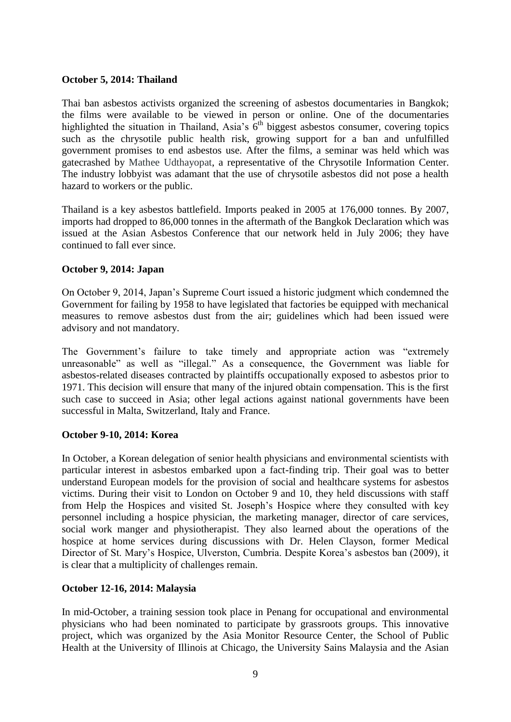## **October 5, 2014: Thailand**

Thai ban asbestos activists organized the screening of asbestos documentaries in Bangkok; the films were available to be viewed in person or online. One of the documentaries highlighted the situation in Thailand, Asia's  $6<sup>th</sup>$  biggest asbestos consumer, covering topics such as the chrysotile public health risk, growing support for a ban and unfulfilled government promises to end asbestos use. After the films, a seminar was held which was gatecrashed by Mathee Udthayopat, a representative of the Chrysotile Information Center. The industry lobbyist was adamant that the use of chrysotile asbestos did not pose a health hazard to workers or the public.

Thailand is a key asbestos battlefield. Imports peaked in 2005 at 176,000 tonnes. By 2007, imports had dropped to 86,000 tonnes in the aftermath of the Bangkok Declaration which was issued at the Asian Asbestos Conference that our network held in July 2006; they have continued to fall ever since.

## **October 9, 2014: Japan**

On October 9, 2014, Japan's Supreme Court issued a historic judgment which condemned the Government for failing by 1958 to have legislated that factories be equipped with mechanical measures to remove asbestos dust from the air; guidelines which had been issued were advisory and not mandatory.

The Government's failure to take timely and appropriate action was "extremely unreasonable" as well as "illegal." As a consequence, the Government was liable for asbestos-related diseases contracted by plaintiffs occupationally exposed to asbestos prior to 1971. This decision will ensure that many of the injured obtain compensation. This is the first such case to succeed in Asia; other legal actions against national governments have been successful in Malta, Switzerland, Italy and France.

## **October 9-10, 2014: Korea**

In October, a Korean delegation of senior health physicians and environmental scientists with particular interest in asbestos embarked upon a fact-finding trip. Their goal was to better understand European models for the provision of social and healthcare systems for asbestos victims. During their visit to London on October 9 and 10, they held discussions with staff from Help the Hospices and visited St. Joseph's Hospice where they consulted with key personnel including a hospice physician, the marketing manager, director of care services, social work manger and physiotherapist. They also learned about the operations of the hospice at home services during discussions with Dr. Helen Clayson, former Medical Director of St. Mary's Hospice, Ulverston, Cumbria. Despite Korea's asbestos ban (2009), it is clear that a multiplicity of challenges remain.

# **October 12-16, 2014: Malaysia**

In mid-October, a training session took place in Penang for occupational and environmental physicians who had been nominated to participate by grassroots groups. This innovative project, which was organized by the Asia Monitor Resource Center, the School of Public Health at the University of Illinois at Chicago, the University Sains Malaysia and the Asian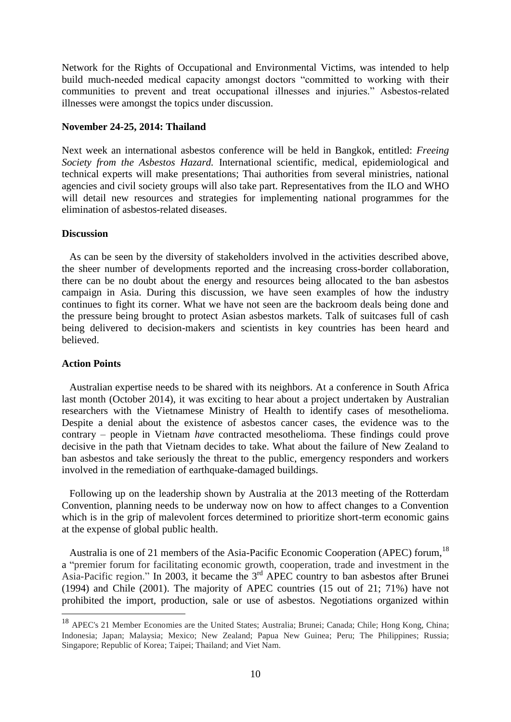Network for the Rights of Occupational and Environmental Victims, was intended to help build much-needed medical capacity amongst doctors "committed to working with their communities to prevent and treat occupational illnesses and injuries." Asbestos-related illnesses were amongst the topics under discussion.

### **November 24-25, 2014: Thailand**

Next week an international asbestos conference will be held in Bangkok, entitled: *Freeing Society from the Asbestos Hazard.* International scientific, medical, epidemiological and technical experts will make presentations; Thai authorities from several ministries, national agencies and civil society groups will also take part. Representatives from the ILO and WHO will detail new resources and strategies for implementing national programmes for the elimination of asbestos-related diseases.

#### **Discussion**

 As can be seen by the diversity of stakeholders involved in the activities described above, the sheer number of developments reported and the increasing cross-border collaboration, there can be no doubt about the energy and resources being allocated to the ban asbestos campaign in Asia. During this discussion, we have seen examples of how the industry continues to fight its corner. What we have not seen are the backroom deals being done and the pressure being brought to protect Asian asbestos markets. Talk of suitcases full of cash being delivered to decision-makers and scientists in key countries has been heard and believed.

### **Action Points**

1

 Australian expertise needs to be shared with its neighbors. At a conference in South Africa last month (October 2014), it was exciting to hear about a project undertaken by Australian researchers with the Vietnamese Ministry of Health to identify cases of mesothelioma. Despite a denial about the existence of asbestos cancer cases, the evidence was to the contrary – people in Vietnam *have* contracted mesothelioma. These findings could prove decisive in the path that Vietnam decides to take. What about the failure of New Zealand to ban asbestos and take seriously the threat to the public, emergency responders and workers involved in the remediation of earthquake-damaged buildings.

 Following up on the leadership shown by Australia at the 2013 meeting of the Rotterdam Convention, planning needs to be underway now on how to affect changes to a Convention which is in the grip of malevolent forces determined to prioritize short-term economic gains at the expense of global public health.

Australia is one of 21 members of the Asia-Pacific Economic Cooperation (APEC) forum, <sup>18</sup> a "premier forum for facilitating economic growth, cooperation, trade and investment in the Asia-Pacific region." In 2003, it became the 3<sup>rd</sup> APEC country to ban asbestos after Brunei (1994) and Chile (2001). The majority of APEC countries (15 out of 21; 71%) have not prohibited the import, production, sale or use of asbestos. Negotiations organized within

<sup>18</sup> APEC's 21 Member Economies are the United States; Australia; Brunei; Canada; Chile; Hong Kong, China; Indonesia; Japan; Malaysia; Mexico; New Zealand; Papua New Guinea; Peru; The Philippines; Russia; Singapore; Republic of Korea; Taipei; Thailand; and Viet Nam.